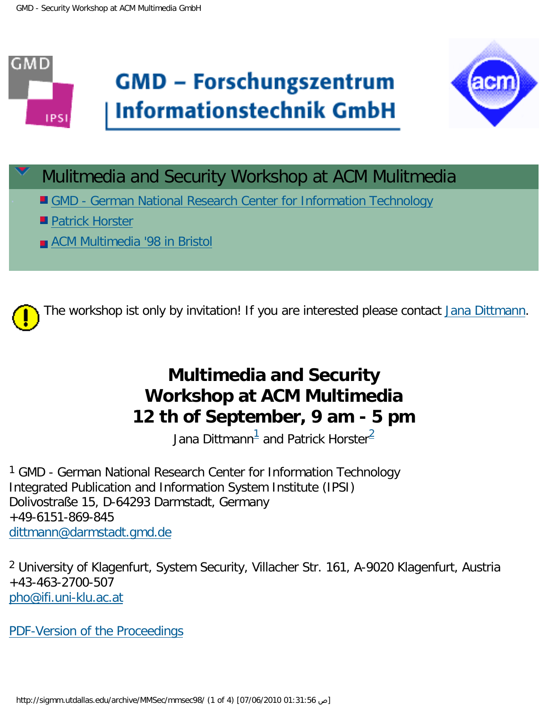



- **E** [GMD German National Research Center for Information Technology](http://www.gmd.de/de/institute.html)
- **[Patrick Horster](mailto: pho@ifi.uni-klu.ac.at)**
- **Reading [ACM Multimedia '98 in Bristol](http://www.acm.org/sigmm/MM98/)**



## **Multimedia and Security Workshop at ACM Multimedia 12 th of September, 9 am - 5 pm**

Jana Dittmann $^{\bar 1}$  and Patrick Horster $^{\bar 2}$ 

<span id="page-0-0"></span><sup>1</sup> GMD - German National Research Center for Information Technology Integrated Publication and Information System Institute (IPSI) Dolivostraße 15, D-64293 Darmstadt, Germany +49-6151-869-845 [dittmann@darmstadt.gmd.de](mailto: dittmann@darmstadt.gmd.de)

<span id="page-0-1"></span>2 University of Klagenfurt, System Security, Villacher Str. 161, A-9020 Klagenfurt, Austria +43-463-2700-507 [pho@ifi.uni-klu.ac.at](mailto: pho@ifi.uni-klu.ac.at)

[PDF-Version of the Proceedings](http://sigmm.utdallas.edu/archive/MMSec/mmsec98/workshop.pdf)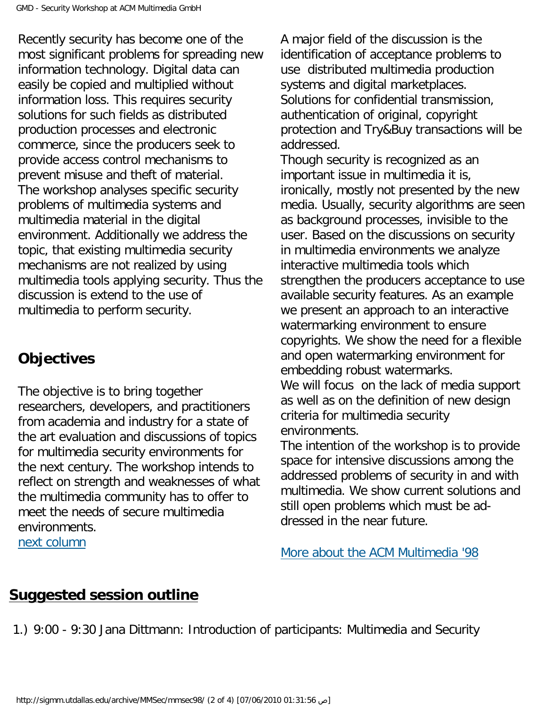Recently security has become one of the most significant problems for spreading new information technology. Digital data can easily be copied and multiplied without information loss. This requires security solutions for such fields as distributed production processes and electronic commerce, since the producers seek to provide access control mechanisms to prevent misuse and theft of material. The workshop analyses specific security problems of multimedia systems and multimedia material in the digital environment. Additionally we address the topic, that existing multimedia security mechanisms are not realized by using multimedia tools applying security. Thus the discussion is extend to the use of multimedia to perform security.

## **Objectives**

The objective is to bring together researchers, developers, and practitioners from academia and industry for a state of the art evaluation and discussions of topics for multimedia security environments for the next century. The workshop intends to reflect on strength and weaknesses of what the multimedia community has to offer to meet the needs of secure multimedia environments. [next column](#page-1-0)

A major field of the discussion is the identification of acceptance problems to use distributed multimedia production systems and digital marketplaces. Solutions for confidential transmission, authentication of original, copyright protection and Try&Buy transactions will be addressed.

Though security is recognized as an important issue in multimedia it is, ironically, mostly not presented by the new media. Usually, security algorithms are seen as background processes, invisible to the user. Based on the discussions on security in multimedia environments we analyze interactive multimedia tools which strengthen the producers acceptance to use available security features. As an example we present an approach to an interactive watermarking environment to ensure copyrights. We show the need for a flexible and open watermarking environment for embedding robust watermarks. We will focus on the lack of media support as well as on the definition of new design criteria for multimedia security environments.

The intention of the workshop is to provide space for intensive discussions among the addressed problems of security in and with multimedia. We show current solutions and still open problems which must be addressed in the near future.

[More about the ACM Multimedia '98](http://www.acm.org/sigmm/MM98/)

## <span id="page-1-0"></span>**Suggested session outline**

1.) 9:00 - 9:30 Jana Dittmann: Introduction of participants: Multimedia and Security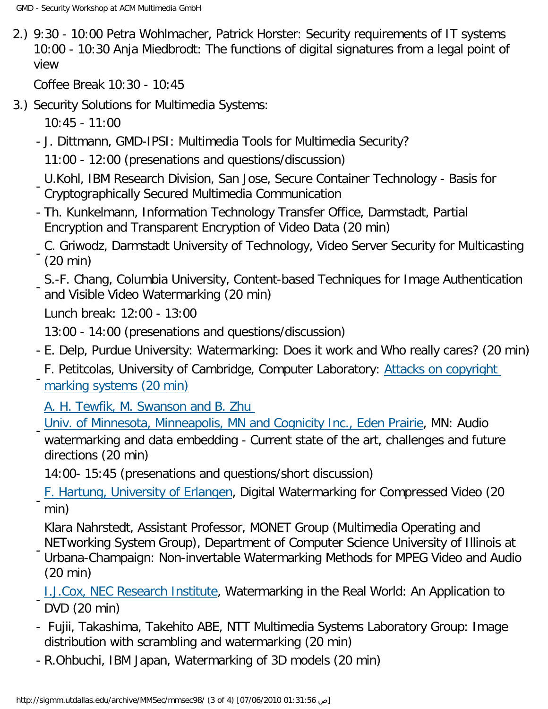2.) 9:30 - 10:00 Petra Wohlmacher, Patrick Horster: Security requirements of IT systems 10:00 - 10:30 Anja Miedbrodt: The functions of digital signatures from a legal point of view

Coffee Break 10:30 - 10:45

3.) Security Solutions for Multimedia Systems:

10:45 - 11:00

- J. Dittmann, GMD-IPSI: Multimedia Tools for Multimedia Security?

11:00 - 12:00 (presenations and questions/discussion)

- U.Kohl, IBM Research Division, San Jose, Secure Container Technology - Basis for Cryptographically Secured Multimedia Communication

- Th. Kunkelmann, Information Technology Transfer Office, Darmstadt, Partial Encryption and Transparent Encryption of Video Data (20 min)
- C. Griwodz, Darmstadt University of Technology, Video Server Security for Multicasting (20 min)
- S.-F. Chang, Columbia University, Content-based Techniques for Image Authentication and Visible Video Watermarking (20 min)

Lunch break: 12:00 - 13:00

-

13:00 - 14:00 (presenations and questions/discussion)

- E. Delp, Purdue University: Watermarking: Does it work and Who really cares? (20 min)
- F. Petitcolas, University of Cambridge, Computer Laboratory: [Attacks on copyright](http://www.cl.cam.ac.uk/~fapp2/papers/ih98-attacks/)  [marking systems \(20 min\)](http://www.cl.cam.ac.uk/~fapp2/papers/ih98-attacks/)

[A. H. Tewfik, M. Swanson and B. Zhu](http://www.ee.umn.edu/groups/msp/subject/mmedia.html)

[Univ. of Minnesota, Minneapolis, MN and Cognicity Inc., Eden Prairie,](http://www.ee.umn.edu/groups/msp/subject/mmedia.html) MN: Audio

 watermarking and data embedding - Current state of the art, challenges and future directions (20 min)

14:00- 15:45 (presenations and questions/short discussion)

[F. Hartung, University of Erlangen](http://www-nt.e-technik.uni-erlangen.de/~hartung/), Digital Watermarking for Compressed Video (20 min)

Klara Nahrstedt, Assistant Professor, MONET Group (Multimedia Operating and NETworking System Group), Department of Computer Science University of Illinois at

- Urbana-Champaign: Non-invertable Watermarking Methods for MPEG Video and Audio (20 min)
- [I.J.Cox, NEC Research Institute,](http://www.neci.nj.nec.com/) Watermarking in the Real World: An Application to DVD (20 min)
- Fujii, Takashima, Takehito ABE, NTT Multimedia Systems Laboratory Group: Image distribution with scrambling and watermarking (20 min)
- R.Ohbuchi, IBM Japan, Watermarking of 3D models (20 min)